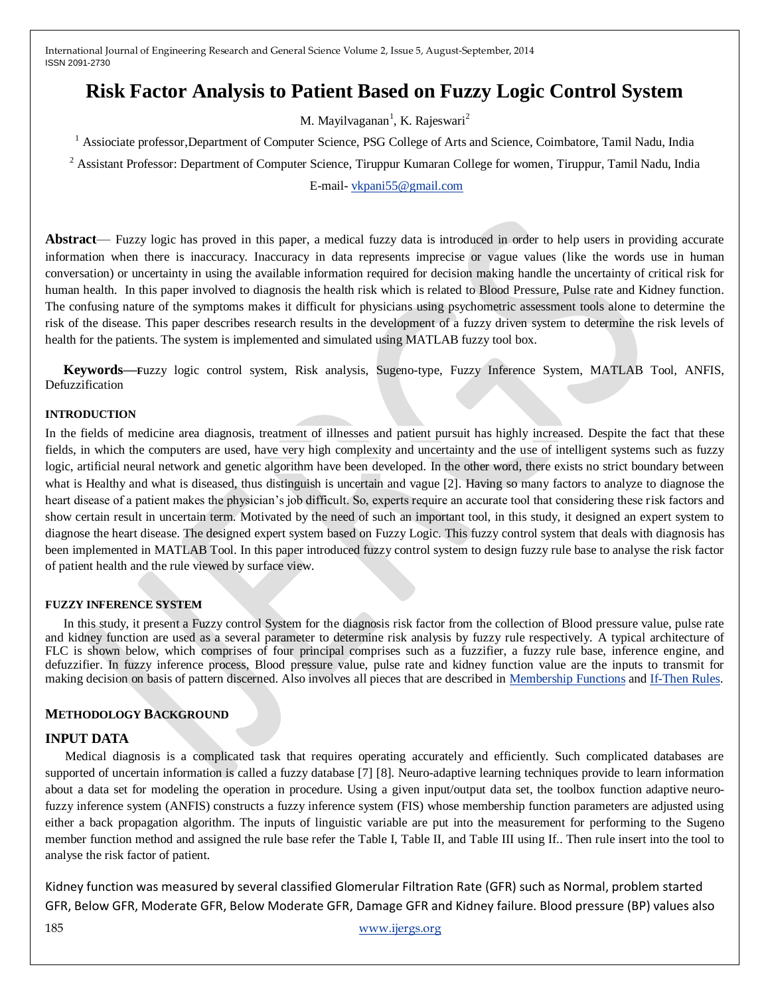# **Risk Factor Analysis to Patient Based on Fuzzy Logic Control System**

M. Mayilvaganan<sup>1</sup>, K. Rajeswari<sup>2</sup>

<sup>1</sup> Assiociate professor,Department of Computer Science, PSG College of Arts and Science, Coimbatore, Tamil Nadu, India

<sup>2</sup> Assistant Professor: Department of Computer Science, Tiruppur Kumaran College for women, Tiruppur, Tamil Nadu, India

E-mail- [vkpani55@gmail.com](mailto:vkpani55@gmail.com)

**Abstract**— Fuzzy logic has proved in this paper, a medical fuzzy data is introduced in order to help users in providing accurate information when there is inaccuracy. Inaccuracy in data represents imprecise or vague values (like the words use in human conversation) or uncertainty in using the available information required for decision making handle the uncertainty of critical risk for human health. In this paper involved to diagnosis the health risk which is related to Blood Pressure, Pulse rate and Kidney function. The confusing nature of the symptoms makes it difficult for physicians using psychometric assessment tools alone to determine the risk of the disease. This paper describes research results in the development of a fuzzy driven system to determine the risk levels of health for the patients. The system is implemented and simulated using MATLAB fuzzy tool box.

**Keywords—F**uzzy logic control system, Risk analysis, Sugeno-type, Fuzzy Inference System, MATLAB Tool, ANFIS, Defuzzification

#### **INTRODUCTION**

In the fields of medicine area diagnosis, treatment of illnesses and patient pursuit has highly increased. Despite the fact that these fields, in which the computers are used, have very high complexity and uncertainty and the use of intelligent systems such as fuzzy logic, artificial neural network and genetic algorithm have been developed. In the other word, there exists no strict boundary between what is Healthy and what is diseased, thus distinguish is uncertain and vague [2]. Having so many factors to analyze to diagnose the heart disease of a patient makes the physician's job difficult. So, experts require an accurate tool that considering these risk factors and show certain result in uncertain term. Motivated by the need of such an important tool, in this study, it designed an expert system to diagnose the heart disease. The designed expert system based on Fuzzy Logic. This fuzzy control system that deals with diagnosis has been implemented in MATLAB Tool. In this paper introduced fuzzy control system to design fuzzy rule base to analyse the risk factor of patient health and the rule viewed by surface view.

#### **FUZZY INFERENCE SYSTEM**

In this study, it present a Fuzzy control System for the diagnosis risk factor from the collection of Blood pressure value, pulse rate and kidney function are used as a several parameter to determine risk analysis by fuzzy rule respectively. A typical architecture of FLC is shown below, which comprises of four principal comprises such as a fuzzifier, a fuzzy rule base, inference engine, and defuzzifier. In fuzzy inference process, Blood pressure value, pulse rate and kidney function value are the inputs to transmit for making decision on basis of pattern discerned. Also involves all pieces that are described in [Membership](http://www.mathworks.in/help/fuzzy/foundations-of-fuzzy-logic.html#bp78l70-2) Functions and [If-Then](http://www.mathworks.in/help/fuzzy/foundations-of-fuzzy-logic.html#bp78l70-7) Rules.

## **METHODOLOGY BACKGROUND**

## **INPUT DATA**

Medical diagnosis is a complicated task that requires operating accurately and efficiently. Such complicated databases are supported of uncertain information is called a fuzzy database [7] [8]. Neuro-adaptive learning techniques provide to learn information about a data set for modeling the operation in procedure. Using a given input/output data set, the toolbox function adaptive neurofuzzy inference system (ANFIS) constructs a fuzzy inference system (FIS) whose membership function parameters are adjusted using either a back propagation algorithm. The inputs of linguistic variable are put into the measurement for performing to the Sugeno member function method and assigned the rule base refer the Table I, Table II, and Table III using If.. Then rule insert into the tool to analyse the risk factor of patient.

Kidney function was measured by several classified Glomerular Filtration Rate (GFR) such as Normal, problem started GFR, Below GFR, Moderate GFR, Below Moderate GFR, Damage GFR and Kidney failure. Blood pressure (BP) values also

185 [www.ijergs.org](http://www.ijergs.org/)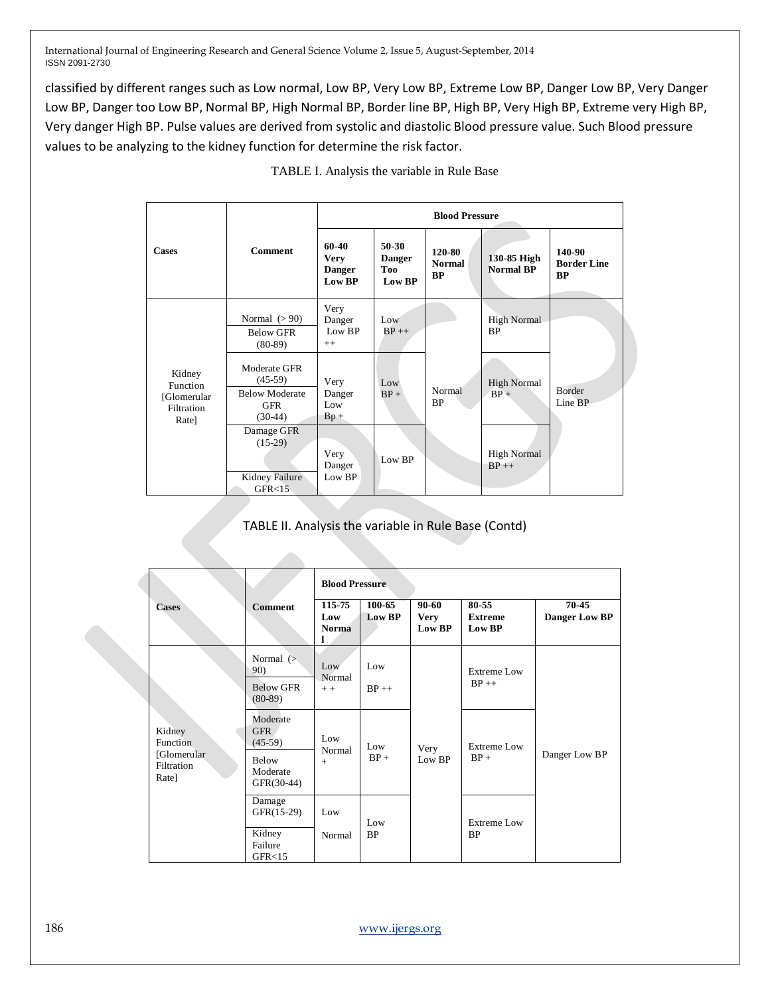classified by different ranges such as Low normal, Low BP, Very Low BP, Extreme Low BP, Danger Low BP, Very Danger Low BP, Danger too Low BP, Normal BP, High Normal BP, Border line BP, High BP, Very High BP, Extreme very High BP, Very danger High BP. Pulse values are derived from systolic and diastolic Blood pressure value. Such Blood pressure values to be analyzing to the kidney function for determine the risk factor.

|                                                          | <b>Comment</b>                                                                | <b>Blood Pressure</b>                                  |                                           |                                      |                                 |                                           |
|----------------------------------------------------------|-------------------------------------------------------------------------------|--------------------------------------------------------|-------------------------------------------|--------------------------------------|---------------------------------|-------------------------------------------|
| <b>Cases</b>                                             |                                                                               | 60-40<br><b>Very</b><br><b>Danger</b><br><b>Low BP</b> | $50-30$<br><b>Danger</b><br>Too<br>Low BP | 120-80<br><b>Normal</b><br><b>BP</b> | 130-85 High<br><b>Normal BP</b> | 140-90<br><b>Border Line</b><br><b>BP</b> |
| Kidney<br>Function<br>[Glomerular<br>Filtration<br>Rate] | Normal $(>90)$<br><b>Below GFR</b><br>$(80-89)$                               | Very<br>Danger<br>Low BP<br>$++$                       | Low<br>$BP++$                             | Normal<br>BP                         | <b>High Normal</b><br><b>BP</b> | Border<br>Line BP                         |
|                                                          | Moderate GFR<br>$(45-59)$<br><b>Below Moderate</b><br><b>GFR</b><br>$(30-44)$ | Very<br>Danger<br>Low<br>$Bp +$                        | Low<br>$BP +$                             |                                      | <b>High Normal</b><br>$BP +$    |                                           |
|                                                          | Damage GFR<br>$(15-29)$<br>Kidney Failure<br>GFR < 15                         | Very<br>Danger<br>Low BP                               | Low BP                                    |                                      | <b>High Normal</b><br>$BP++$    |                                           |

TABLE I. Analysis the variable in Rule Base

# TABLE II. Analysis the variable in Rule Base (Contd)

|                                                          |                                                                  | <b>Blood Pressure</b>         |                  |                                    |                                   |                        |  |
|----------------------------------------------------------|------------------------------------------------------------------|-------------------------------|------------------|------------------------------------|-----------------------------------|------------------------|--|
| <b>Cases</b>                                             | <b>Comment</b>                                                   | 115-75<br>Low<br><b>Norma</b> | 100-65<br>Low BP | $90 - 60$<br><b>Very</b><br>Low BP | 80-55<br><b>Extreme</b><br>Low BP | 70-45<br>Danger Low BP |  |
| Kidney<br>Function<br>[Glomerular<br>Filtration<br>Rate] | Normal $($<br>90)<br><b>Below GFR</b><br>$(80-89)$               | Low<br>Normal<br>$++$         | Low<br>$BP++$    | Very<br>Low BP                     | <b>Extreme Low</b><br>$BP++$      | Danger Low BP          |  |
|                                                          | Moderate<br>GFR.<br>$(45-59)$<br>Below<br>Moderate<br>GFR(30-44) | Low<br>Normal<br>$+$          | Low<br>$BP +$    |                                    | <b>Extreme Low</b><br>$BP +$      |                        |  |
|                                                          | Damage<br>GFR(15-29)<br>Kidney<br>Failure<br>GFR < 15            | Low<br>Normal                 | Low<br><b>BP</b> |                                    | <b>Extreme Low</b><br><b>BP</b>   |                        |  |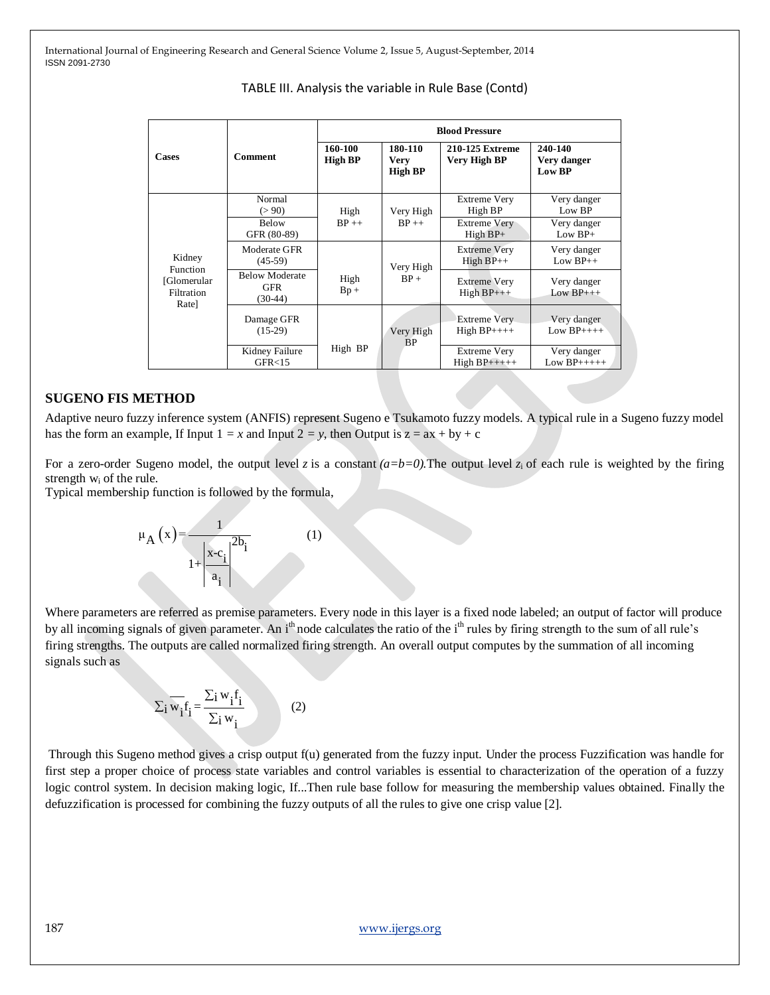| <b>Cases</b>                                                    | <b>Comment</b>                                   | <b>Blood Pressure</b>     |                                   |                                      |                                  |  |
|-----------------------------------------------------------------|--------------------------------------------------|---------------------------|-----------------------------------|--------------------------------------|----------------------------------|--|
|                                                                 |                                                  | 160-100<br><b>High BP</b> | 180-110<br><b>Very</b><br>High BP | 210-125 Extreme<br>Very High BP      | 240-140<br>Very danger<br>Low BP |  |
| Kidney<br><b>Function</b><br>[Glomerular<br>Filtration<br>Rate] | Normal<br>(>90)                                  | High                      | Very High                         | <b>Extreme Very</b><br>High BP       | Very danger<br>Low BP            |  |
|                                                                 | <b>Below</b><br>GFR (80-89)                      | $BP++$                    | $BP++$                            | Extreme Very<br>$High BP+$           | Very danger<br>Low $BP+$         |  |
|                                                                 | Moderate GFR<br>$(45-59)$                        |                           | Very High                         | <b>Extreme Very</b><br>$High BP++$   | Very danger<br>$Low BP++$        |  |
|                                                                 | <b>Below Moderate</b><br><b>GFR</b><br>$(30-44)$ | High<br>$Bp +$            | $BP +$                            | <b>Extreme Very</b><br>$High BP++$   | Very danger<br>Low $BP_{+++}$    |  |
|                                                                 | Damage GFR<br>$(15-29)$                          |                           | Very High<br><b>BP</b>            | <b>Extreme Very</b><br>$High BP++++$ | Very danger<br>Low $BP_{+++}$    |  |
|                                                                 | Kidney Failure<br>GFR < 15                       | High BP                   |                                   | <b>Extreme Very</b><br>$High BP++++$ | Very danger<br>Low $BP$ +++++    |  |

# TABLE III. Analysis the variable in Rule Base (Contd)

## **SUGENO FIS METHOD**

Adaptive neuro fuzzy inference system (ANFIS) represent Sugeno e Tsukamoto fuzzy models. A typical rule in a Sugeno fuzzy model has the form an example, If Input  $1 = x$  and Input  $2 = y$ , then Output is  $z = ax + by + c$ 

For a zero-order Sugeno model, the output level *z* is a constant  $(a=b=0)$ . The output level *z*<sub>i</sub> of each rule is weighted by the firing strength w<sup>i</sup> of the rule.

Typical membership function is followed by the formula,



Where parameters are referred as premise parameters. Every node in this layer is a fixed node labeled; an output of factor will produce by all incoming signals of given parameter. An i<sup>th</sup> node calculates the ratio of the i<sup>th</sup> rules by firing strength to the sum of all rule's firing strengths. The outputs are called normalized firing strength. An overall output computes by the summation of all incoming signals such as

$$
\sum_{i} \overline{w_i} f_i = \frac{\sum_{i} w_i f_i}{\sum_{i} w_i}
$$
 (2)

Through this Sugeno method gives a crisp output f(u) generated from the fuzzy input. Under the process Fuzzification was handle for first step a proper choice of process state variables and control variables is essential to characterization of the operation of a fuzzy logic control system. In decision making logic, If...Then rule base follow for measuring the membership values obtained. Finally the defuzzification is processed for combining the fuzzy outputs of all the rules to give one crisp value [2].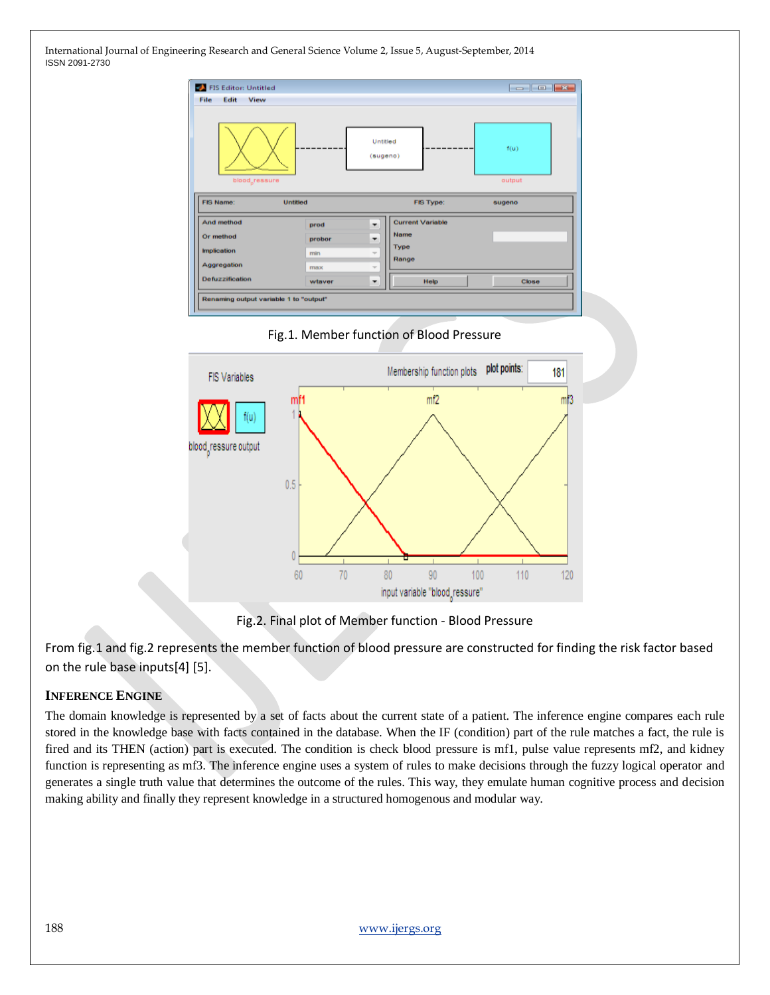





Fig.2. Final plot of Member function - Blood Pressure

From fig.1 and fig.2 represents the member function of blood pressure are constructed for finding the risk factor based on the rule base inputs[4] [5].

# **INFERENCE ENGINE**

The domain knowledge is represented by a set of facts about the current state of a patient. The inference engine compares each rule stored in the knowledge base with facts contained in the database. When the IF (condition) part of the rule matches a fact, the rule is fired and its THEN (action) part is executed. The condition is check blood pressure is mf1, pulse value represents mf2, and kidney function is representing as mf3. The inference engine uses a system of rules to make decisions through the fuzzy logical operator and generates a single truth value that determines the outcome of the rules. This way, they emulate human cognitive process and decision making ability and finally they represent knowledge in a structured homogenous and modular way.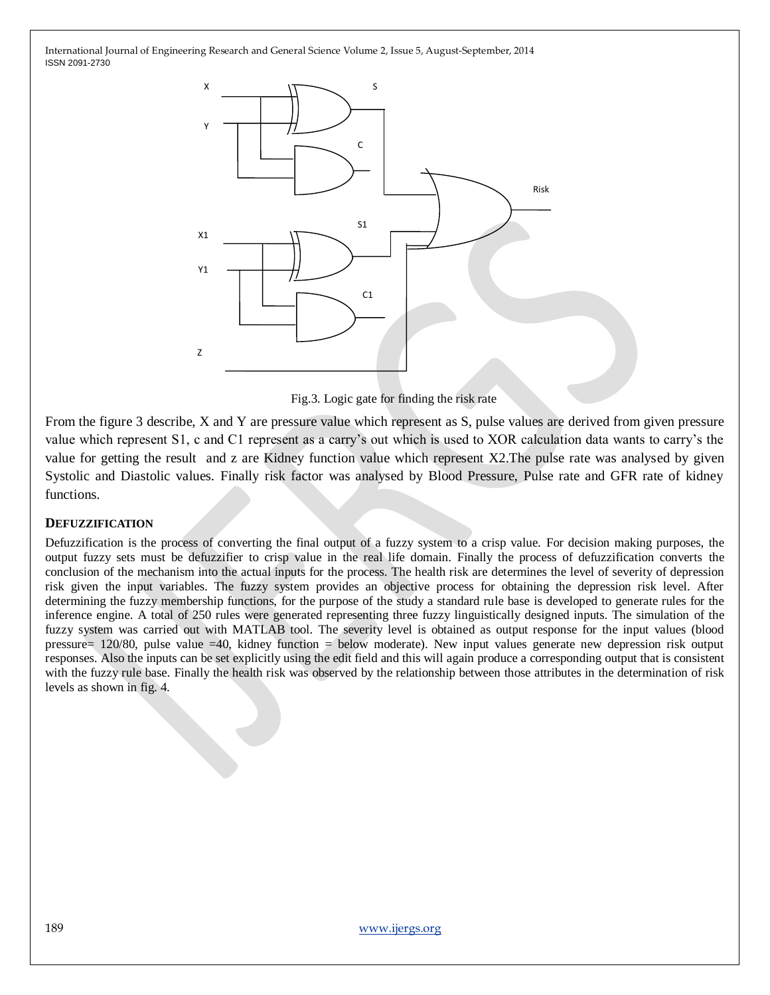

Fig.3. Logic gate for finding the risk rate

From the figure 3 describe, X and Y are pressure value which represent as S, pulse values are derived from given pressure value which represent S1, c and C1 represent as a carry's out which is used to XOR calculation data wants to carry's the value for getting the result and z are Kidney function value which represent X2.The pulse rate was analysed by given Systolic and Diastolic values. Finally risk factor was analysed by Blood Pressure, Pulse rate and GFR rate of kidney functions.

## **DEFUZZIFICATION**

Defuzzification is the process of converting the final output of a fuzzy system to a crisp value. For decision making purposes, the output fuzzy sets must be defuzzifier to crisp value in the real life domain. Finally the process of defuzzification converts the conclusion of the mechanism into the actual inputs for the process. The health risk are determines the level of severity of depression risk given the input variables. The fuzzy system provides an objective process for obtaining the depression risk level. After determining the fuzzy membership functions, for the purpose of the study a standard rule base is developed to generate rules for the inference engine. A total of 250 rules were generated representing three fuzzy linguistically designed inputs. The simulation of the fuzzy system was carried out with MATLAB tool. The severity level is obtained as output response for the input values (blood pressure= 120/80, pulse value =40, kidney function = below moderate). New input values generate new depression risk output responses. Also the inputs can be set explicitly using the edit field and this will again produce a corresponding output that is consistent with the fuzzy rule base. Finally the health risk was observed by the relationship between those attributes in the determination of risk levels as shown in fig. 4.